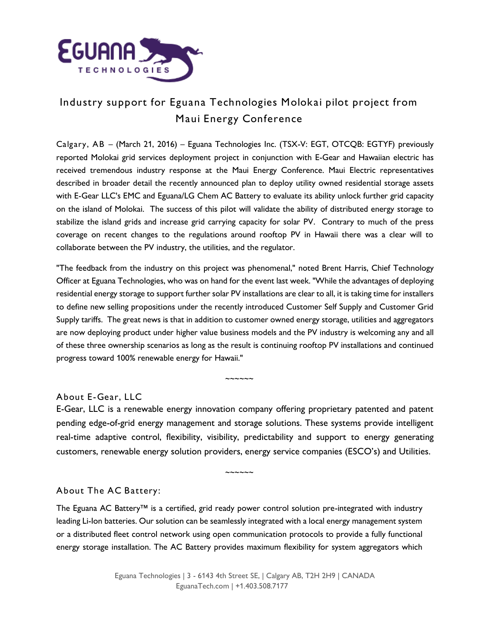

## Industry support for Eguana Technologies Molokai pilot project from Maui Energy Conference

Calgary, AB – (March 21, 2016) – Eguana Technologies Inc. (TSX-V: EGT, OTCQB: EGTYF) previously reported Molokai grid services deployment project in conjunction with E-Gear and Hawaiian electric has received tremendous industry response at the Maui Energy Conference. Maui Electric representatives described in broader detail the recently announced plan to deploy utility owned residential storage assets with E-Gear LLC's EMC and Eguana/LG Chem AC Battery to evaluate its ability unlock further grid capacity on the island of Molokai. The success of this pilot will validate the ability of distributed energy storage to stabilize the island grids and increase grid carrying capacity for solar PV. Contrary to much of the press coverage on recent changes to the regulations around rooftop PV in Hawaii there was a clear will to collaborate between the PV industry, the utilities, and the regulator.

"The feedback from the industry on this project was phenomenal," noted Brent Harris, Chief Technology Officer at Eguana Technologies, who was on hand for the event last week. "While the advantages of deploying residential energy storage to support further solar PV installations are clear to all, it is taking time for installers to define new selling propositions under the recently introduced Customer Self Supply and Customer Grid Supply tariffs. The great news is that in addition to customer owned energy storage, utilities and aggregators are now deploying product under higher value business models and the PV industry is welcoming any and all of these three ownership scenarios as long as the result is continuing rooftop PV installations and continued progress toward 100% renewable energy for Hawaii."

About E-Gear, LLC

E-Gear, LLC is a renewable energy innovation company offering proprietary patented and patent pending edge-of-grid energy management and storage solutions. These systems provide intelligent real-time adaptive control, flexibility, visibility, predictability and support to energy generating customers, renewable energy solution providers, energy service companies (ESCO's) and Utilities.

~~~~~~

About The AC Battery:

The Eguana AC Battery™ is a certified, grid ready power control solution pre-integrated with industry leading Li-Ion batteries. Our solution can be seamlessly integrated with a local energy management system or a distributed fleet control network using open communication protocols to provide a fully functional energy storage installation. The AC Battery provides maximum flexibility for system aggregators which

~~~~~~